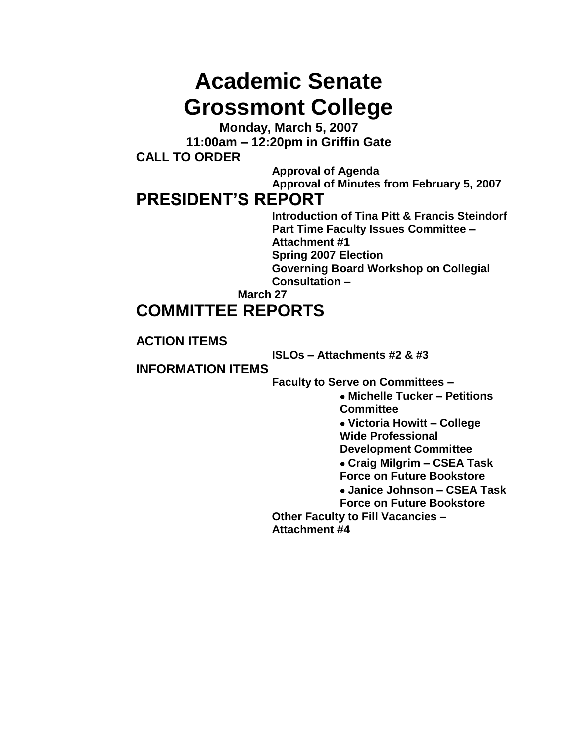# **Academic Senate Grossmont College**

**Monday, March 5, 2007 11:00am – 12:20pm in Griffin Gate CALL TO ORDER**

> **Approval of Agenda Approval of Minutes from February 5, 2007**

### **PRESIDENT'S REPORT**

**Introduction of Tina Pitt & Francis Steindorf Part Time Faculty Issues Committee – Attachment #1 Spring 2007 Election Governing Board Workshop on Collegial Consultation –**

**March 27**

# **COMMITTEE REPORTS**

### **ACTION ITEMS**

**ISLOs – Attachments #2 & #3** 

### **INFORMATION ITEMS**

**Faculty to Serve on Committees –**

**Michelle Tucker – Petitions Committee Victoria Howitt – College Wide Professional Development Committee Craig Milgrim – CSEA Task Force on Future Bookstore Janice Johnson – CSEA Task Force on Future Bookstore Other Faculty to Fill Vacancies – Attachment #4**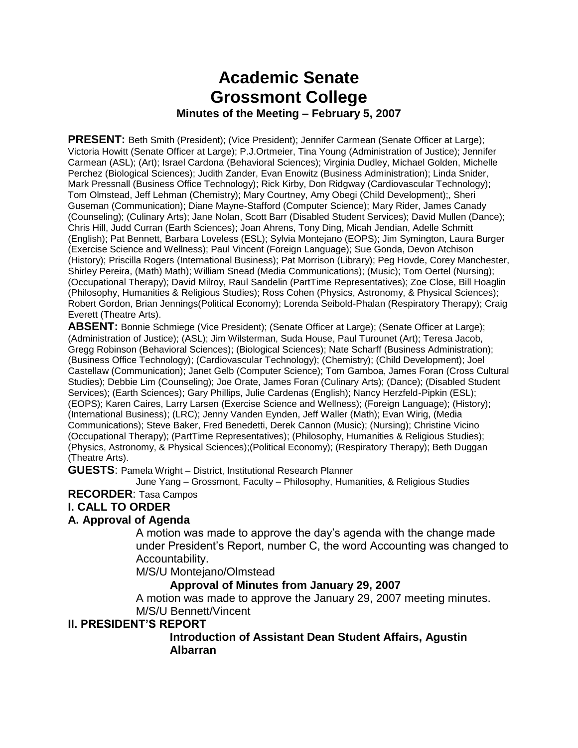### **Academic Senate Grossmont College Minutes of the Meeting – February 5, 2007**

**PRESENT:** Beth Smith (President); (Vice President); Jennifer Carmean (Senate Officer at Large); Victoria Howitt (Senate Officer at Large); P.J.Ortmeier, Tina Young (Administration of Justice); Jennifer Carmean (ASL); (Art); Israel Cardona (Behavioral Sciences); Virginia Dudley, Michael Golden, Michelle Perchez (Biological Sciences); Judith Zander, Evan Enowitz (Business Administration); Linda Snider, Mark Pressnall (Business Office Technology); Rick Kirby, Don Ridgway (Cardiovascular Technology); Tom Olmstead, Jeff Lehman (Chemistry); Mary Courtney, Amy Obegi (Child Development);, Sheri Guseman (Communication); Diane Mayne-Stafford (Computer Science); Mary Rider, James Canady (Counseling); (Culinary Arts); Jane Nolan, Scott Barr (Disabled Student Services); David Mullen (Dance); Chris Hill, Judd Curran (Earth Sciences); Joan Ahrens, Tony Ding, Micah Jendian, Adelle Schmitt (English); Pat Bennett, Barbara Loveless (ESL); Sylvia Montejano (EOPS); Jim Symington, Laura Burger (Exercise Science and Wellness); Paul Vincent (Foreign Language); Sue Gonda, Devon Atchison (History); Priscilla Rogers (International Business); Pat Morrison (Library); Peg Hovde, Corey Manchester, Shirley Pereira, (Math) Math); William Snead (Media Communications); (Music); Tom Oertel (Nursing); (Occupational Therapy); David Milroy, Raul Sandelin (PartTime Representatives); Zoe Close, Bill Hoaglin (Philosophy, Humanities & Religious Studies); Ross Cohen (Physics, Astronomy, & Physical Sciences); Robert Gordon, Brian Jennings(Political Economy); Lorenda Seibold-Phalan (Respiratory Therapy); Craig Everett (Theatre Arts).

**ABSENT:** Bonnie Schmiege (Vice President); (Senate Officer at Large); (Senate Officer at Large); (Administration of Justice); (ASL); Jim Wilsterman, Suda House, Paul Turounet (Art); Teresa Jacob, Gregg Robinson (Behavioral Sciences); (Biological Sciences); Nate Scharff (Business Administration); (Business Office Technology); (Cardiovascular Technology); (Chemistry); (Child Development); Joel Castellaw (Communication); Janet Gelb (Computer Science); Tom Gamboa, James Foran (Cross Cultural Studies); Debbie Lim (Counseling); Joe Orate, James Foran (Culinary Arts); (Dance); (Disabled Student Services); (Earth Sciences); Gary Phillips, Julie Cardenas (English); Nancy Herzfeld-Pipkin (ESL); (EOPS); Karen Caires, Larry Larsen (Exercise Science and Wellness); (Foreign Language); (History); (International Business); (LRC); Jenny Vanden Eynden, Jeff Waller (Math); Evan Wirig, (Media Communications); Steve Baker, Fred Benedetti, Derek Cannon (Music); (Nursing); Christine Vicino (Occupational Therapy); (PartTime Representatives); (Philosophy, Humanities & Religious Studies); (Physics, Astronomy, & Physical Sciences);(Political Economy); (Respiratory Therapy); Beth Duggan (Theatre Arts).

**GUESTS**: Pamela Wright – District, Institutional Research Planner

June Yang – Grossmont, Faculty – Philosophy, Humanities, & Religious Studies

### **RECORDER**: Tasa Campos

### **I. CALL TO ORDER**

#### **A. Approval of Agenda**

A motion was made to approve the day's agenda with the change made under President's Report, number C, the word Accounting was changed to Accountability.

M/S/U Montejano/Olmstead

#### **Approval of Minutes from January 29, 2007**

A motion was made to approve the January 29, 2007 meeting minutes. M/S/U Bennett/Vincent

#### **II. PRESIDENT'S REPORT**

#### **Introduction of Assistant Dean Student Affairs, Agustin Albarran**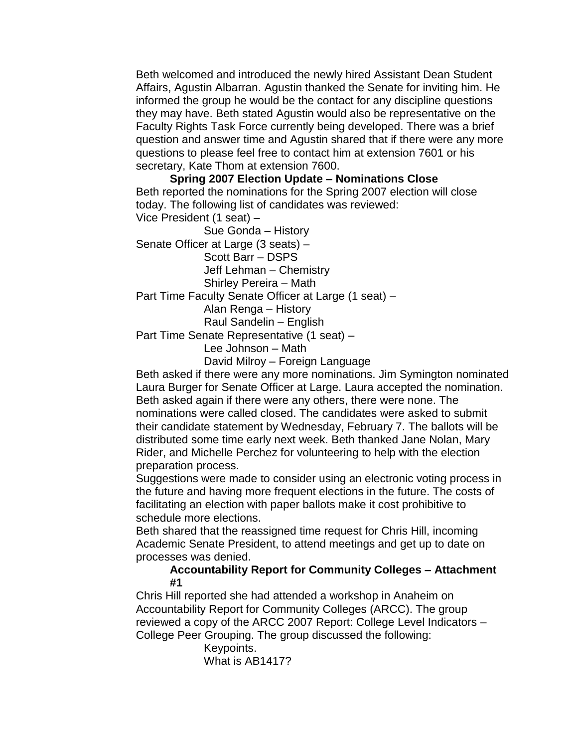Beth welcomed and introduced the newly hired Assistant Dean Student Affairs, Agustin Albarran. Agustin thanked the Senate for inviting him. He informed the group he would be the contact for any discipline questions they may have. Beth stated Agustin would also be representative on the Faculty Rights Task Force currently being developed. There was a brief question and answer time and Agustin shared that if there were any more questions to please feel free to contact him at extension 7601 or his secretary, Kate Thom at extension 7600.

**Spring 2007 Election Update – Nominations Close** Beth reported the nominations for the Spring 2007 election will close today. The following list of candidates was reviewed: Vice President (1 seat) –

Sue Gonda – History

Senate Officer at Large (3 seats) –

Scott Barr – DSPS

Jeff Lehman – Chemistry

Shirley Pereira – Math

Part Time Faculty Senate Officer at Large (1 seat) –

Alan Renga – History

Raul Sandelin – English

Part Time Senate Representative (1 seat) –

Lee Johnson – Math

David Milroy – Foreign Language

Beth asked if there were any more nominations. Jim Symington nominated Laura Burger for Senate Officer at Large. Laura accepted the nomination. Beth asked again if there were any others, there were none. The nominations were called closed. The candidates were asked to submit their candidate statement by Wednesday, February 7. The ballots will be distributed some time early next week. Beth thanked Jane Nolan, Mary Rider, and Michelle Perchez for volunteering to help with the election preparation process.

Suggestions were made to consider using an electronic voting process in the future and having more frequent elections in the future. The costs of facilitating an election with paper ballots make it cost prohibitive to schedule more elections.

Beth shared that the reassigned time request for Chris Hill, incoming Academic Senate President, to attend meetings and get up to date on processes was denied.

#### **Accountability Report for Community Colleges – Attachment #1**

Chris Hill reported she had attended a workshop in Anaheim on Accountability Report for Community Colleges (ARCC). The group reviewed a copy of the ARCC 2007 Report: College Level Indicators – College Peer Grouping. The group discussed the following:

Keypoints. What is AB1417?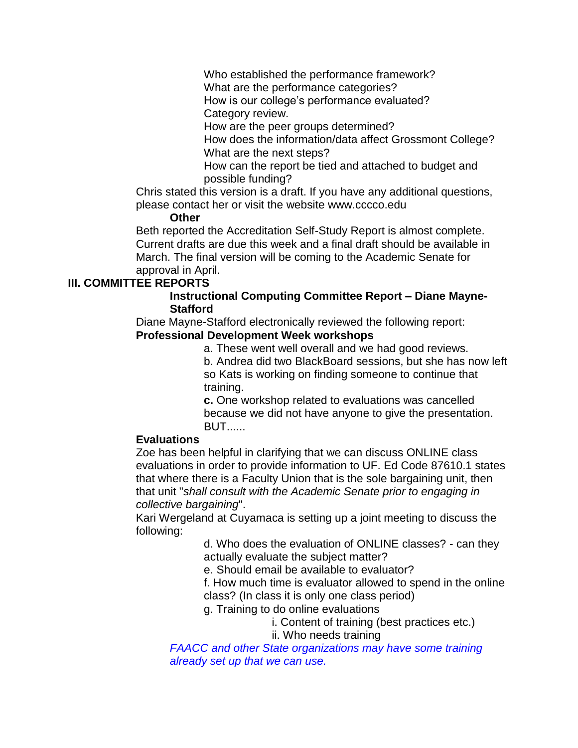Who established the performance framework? What are the performance categories?

How is our college's performance evaluated? Category review.

How are the peer groups determined?

How does the information/data affect Grossmont College? What are the next steps?

How can the report be tied and attached to budget and possible funding?

Chris stated this version is a draft. If you have any additional questions, please contact her or visit the website www.cccco.edu

#### **Other**

Beth reported the Accreditation Self-Study Report is almost complete. Current drafts are due this week and a final draft should be available in March. The final version will be coming to the Academic Senate for approval in April.

#### **III. COMMITTEE REPORTS**

#### **Instructional Computing Committee Report – Diane Mayne-Stafford**

Diane Mayne-Stafford electronically reviewed the following report: **Professional Development Week workshops**

> a. These went well overall and we had good reviews. b. Andrea did two BlackBoard sessions, but she has now left so Kats is working on finding someone to continue that training.

**c.** One workshop related to evaluations was cancelled because we did not have anyone to give the presentation. BUT......

#### **Evaluations**

Zoe has been helpful in clarifying that we can discuss ONLINE class evaluations in order to provide information to UF. Ed Code 87610.1 states that where there is a Faculty Union that is the sole bargaining unit, then that unit "*shall consult with the Academic Senate prior to engaging in collective bargaining*".

Kari Wergeland at Cuyamaca is setting up a joint meeting to discuss the following:

> d. Who does the evaluation of ONLINE classes? - can they actually evaluate the subject matter?

e. Should email be available to evaluator?

f. How much time is evaluator allowed to spend in the online class? (In class it is only one class period)

g. Training to do online evaluations

i. Content of training (best practices etc.) ii. Who needs training

*FAACC and other State organizations may have some training already set up that we can use.*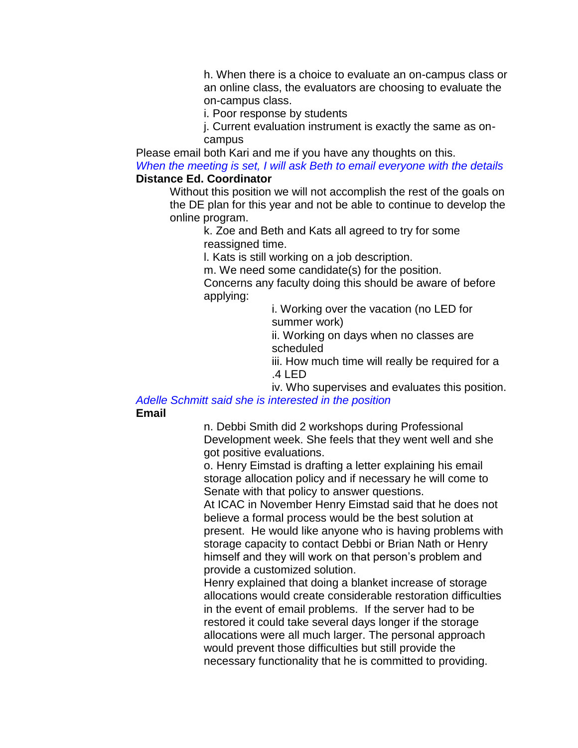h. When there is a choice to evaluate an on-campus class or an online class, the evaluators are choosing to evaluate the on-campus class.

i. Poor response by students

j. Current evaluation instrument is exactly the same as oncampus

Please email both Kari and me if you have any thoughts on this.

*When the meeting is set, I will ask Beth to email everyone with the details* **Distance Ed. Coordinator**

Without this position we will not accomplish the rest of the goals on the DE plan for this year and not be able to continue to develop the online program.

> k. Zoe and Beth and Kats all agreed to try for some reassigned time.

l. Kats is still working on a job description.

m. We need some candidate(s) for the position.

Concerns any faculty doing this should be aware of before applying:

> i. Working over the vacation (no LED for summer work)

> ii. Working on days when no classes are scheduled

iii. How much time will really be required for a .4 LED

iv. Who supervises and evaluates this position. *Adelle Schmitt said she is interested in the position*

**Email**

n. Debbi Smith did 2 workshops during Professional Development week. She feels that they went well and she got positive evaluations.

o. Henry Eimstad is drafting a letter explaining his email storage allocation policy and if necessary he will come to Senate with that policy to answer questions.

At ICAC in November Henry Eimstad said that he does not believe a formal process would be the best solution at present. He would like anyone who is having problems with storage capacity to contact Debbi or Brian Nath or Henry himself and they will work on that person's problem and provide a customized solution.

Henry explained that doing a blanket increase of storage allocations would create considerable restoration difficulties in the event of email problems. If the server had to be restored it could take several days longer if the storage allocations were all much larger. The personal approach would prevent those difficulties but still provide the necessary functionality that he is committed to providing.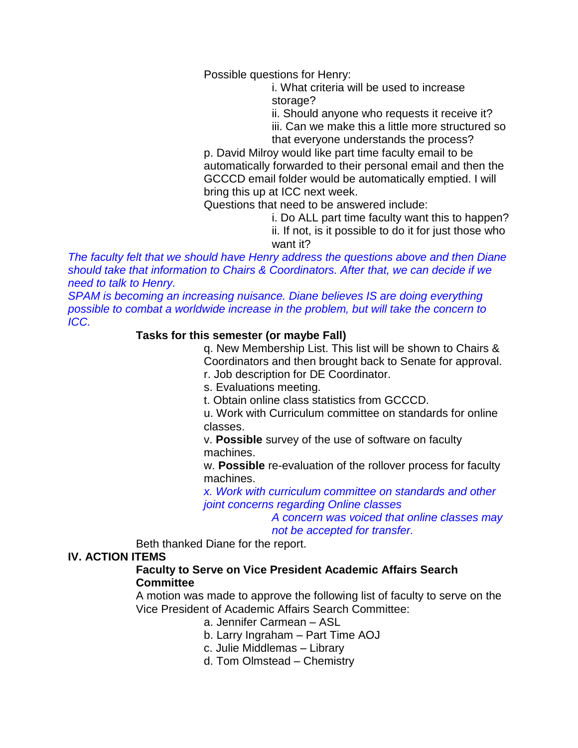Possible questions for Henry:

i. What criteria will be used to increase storage?

ii. Should anyone who requests it receive it?

iii. Can we make this a little more structured so that everyone understands the process?

p. David Milroy would like part time faculty email to be automatically forwarded to their personal email and then the GCCCD email folder would be automatically emptied. I will bring this up at ICC next week.

Questions that need to be answered include:

i. Do ALL part time faculty want this to happen? ii. If not, is it possible to do it for just those who want it?

*The faculty felt that we should have Henry address the questions above and then Diane should take that information to Chairs & Coordinators. After that, we can decide if we need to talk to Henry.*

*SPAM is becoming an increasing nuisance. Diane believes IS are doing everything possible to combat a worldwide increase in the problem, but will take the concern to ICC.* 

#### **Tasks for this semester (or maybe Fall)**

q. New Membership List. This list will be shown to Chairs & Coordinators and then brought back to Senate for approval.

r. Job description for DE Coordinator.

s. Evaluations meeting.

t. Obtain online class statistics from GCCCD.

u. Work with Curriculum committee on standards for online classes.

v. **Possible** survey of the use of software on faculty machines.

w. **Possible** re-evaluation of the rollover process for faculty machines.

*x. Work with curriculum committee on standards and other joint concerns regarding Online classes*

> *A concern was voiced that online classes may not be accepted for transfer.*

Beth thanked Diane for the report.

#### **IV. ACTION ITEMS**

#### **Faculty to Serve on Vice President Academic Affairs Search Committee**

A motion was made to approve the following list of faculty to serve on the Vice President of Academic Affairs Search Committee:

a. Jennifer Carmean – ASL

b. Larry Ingraham – Part Time AOJ

c. Julie Middlemas – Library

d. Tom Olmstead – Chemistry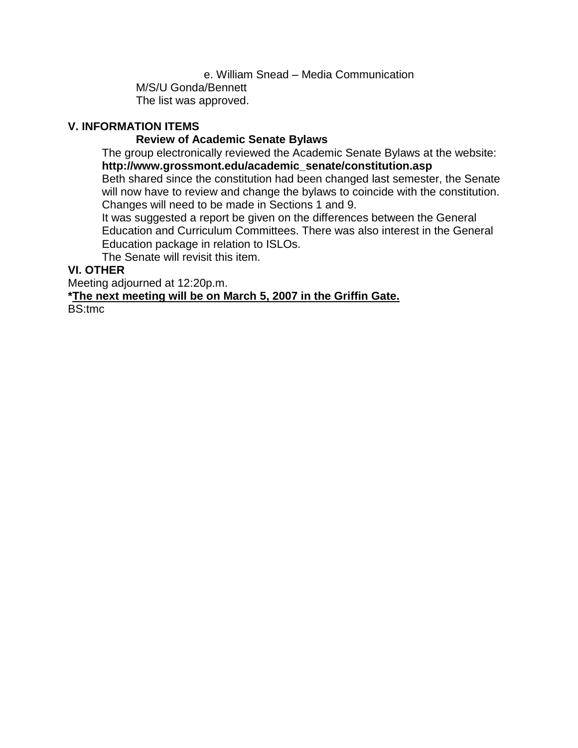e. William Snead – Media Communication M/S/U Gonda/Bennett The list was approved.

#### **V. INFORMATION ITEMS**

#### **Review of Academic Senate Bylaws**

The group electronically reviewed the Academic Senate Bylaws at the website: **http://www.grossmont.edu/academic\_senate/constitution.asp**

Beth shared since the constitution had been changed last semester, the Senate will now have to review and change the bylaws to coincide with the constitution. Changes will need to be made in Sections 1 and 9.

It was suggested a report be given on the differences between the General Education and Curriculum Committees. There was also interest in the General Education package in relation to ISLOs.

The Senate will revisit this item.

#### **VI. OTHER**

Meeting adjourned at 12:20p.m.

#### **\*The next meeting will be on March 5, 2007 in the Griffin Gate.**

BS:tmc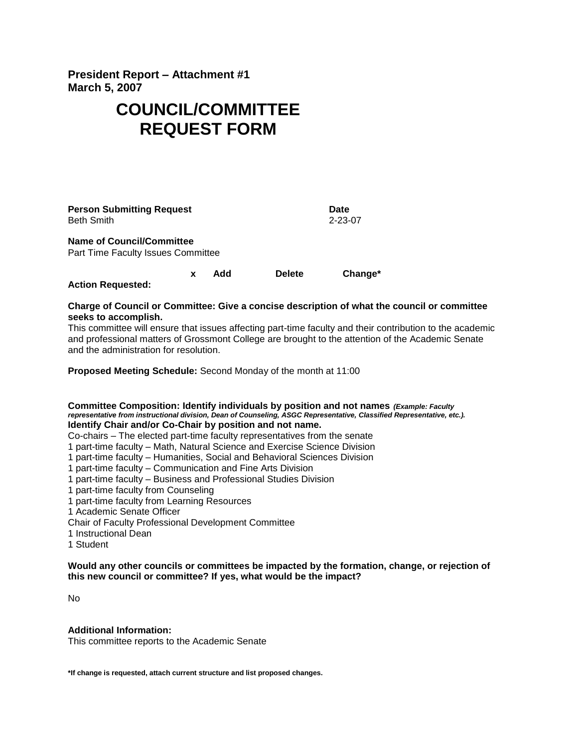**President Report – Attachment #1 March 5, 2007**

# **COUNCIL/COMMITTEE REQUEST FORM**

| <b>Person Submitting Request</b><br>Beth Smith                         |  |     |               | Date<br>$2 - 23 - 07$ |
|------------------------------------------------------------------------|--|-----|---------------|-----------------------|
| <b>Name of Council/Committee</b><br>Part Time Faculty Issues Committee |  |     |               |                       |
|                                                                        |  | Add | <b>Delete</b> | Change*               |

**Action Requested:**

#### **Charge of Council or Committee: Give a concise description of what the council or committee seeks to accomplish.**

This committee will ensure that issues affecting part-time faculty and their contribution to the academic and professional matters of Grossmont College are brought to the attention of the Academic Senate and the administration for resolution.

**Proposed Meeting Schedule:** Second Monday of the month at 11:00

#### **Committee Composition: Identify individuals by position and not names** *(Example: Faculty representative from instructional division, Dean of Counseling, ASGC Representative, Classified Representative, etc.).*  **Identify Chair and/or Co-Chair by position and not name.**

Co-chairs – The elected part-time faculty representatives from the senate

- 1 part-time faculty Math, Natural Science and Exercise Science Division
- 1 part-time faculty Humanities, Social and Behavioral Sciences Division
- 1 part-time faculty Communication and Fine Arts Division
- 1 part-time faculty Business and Professional Studies Division
- 1 part-time faculty from Counseling
- 1 part-time faculty from Learning Resources
- 1 Academic Senate Officer
- Chair of Faculty Professional Development Committee
- 1 Instructional Dean
- 1 Student

**Would any other councils or committees be impacted by the formation, change, or rejection of this new council or committee? If yes, what would be the impact?**

No

#### **Additional Information:**

This committee reports to the Academic Senate

**\*If change is requested, attach current structure and list proposed changes.**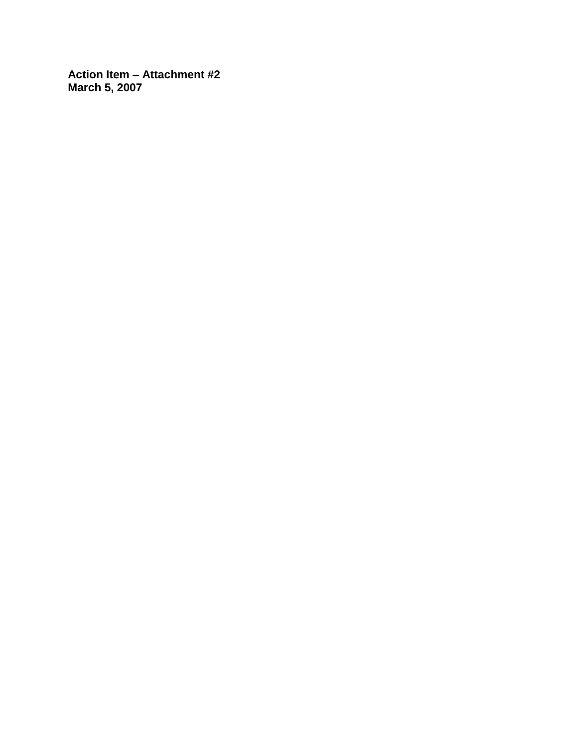**Action Item – Attachment #2 March 5, 2007**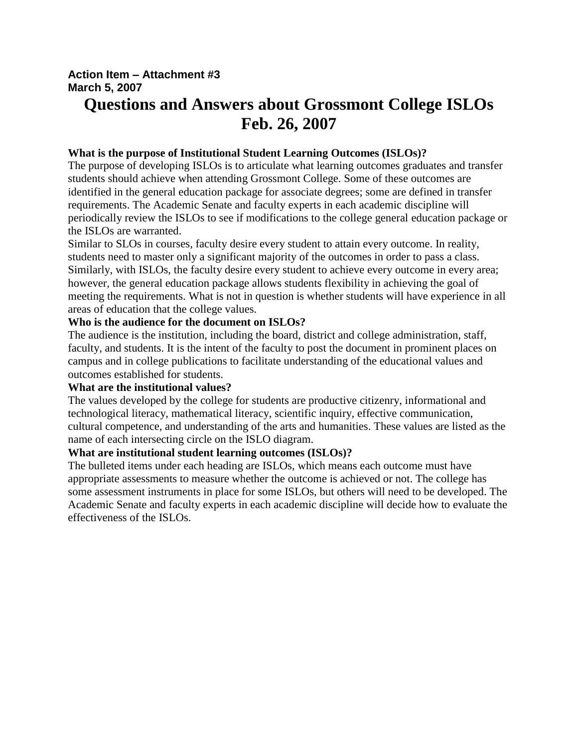#### **Action Item – Attachment #3 March 5, 2007**

# **Questions and Answers about Grossmont College ISLOs Feb. 26, 2007**

#### **What is the purpose of Institutional Student Learning Outcomes (ISLOs)?**

The purpose of developing ISLOs is to articulate what learning outcomes graduates and transfer students should achieve when attending Grossmont College. Some of these outcomes are identified in the general education package for associate degrees; some are defined in transfer requirements. The Academic Senate and faculty experts in each academic discipline will periodically review the ISLOs to see if modifications to the college general education package or the ISLOs are warranted.

Similar to SLOs in courses, faculty desire every student to attain every outcome. In reality, students need to master only a significant majority of the outcomes in order to pass a class. Similarly, with ISLOs, the faculty desire every student to achieve every outcome in every area; however, the general education package allows students flexibility in achieving the goal of meeting the requirements. What is not in question is whether students will have experience in all areas of education that the college values.

#### **Who is the audience for the document on ISLOs?**

The audience is the institution, including the board, district and college administration, staff, faculty, and students. It is the intent of the faculty to post the document in prominent places on campus and in college publications to facilitate understanding of the educational values and outcomes established for students.

#### **What are the institutional values?**

The values developed by the college for students are productive citizenry, informational and technological literacy, mathematical literacy, scientific inquiry, effective communication, cultural competence, and understanding of the arts and humanities. These values are listed as the name of each intersecting circle on the ISLO diagram.

#### **What are institutional student learning outcomes (ISLOs)?**

The bulleted items under each heading are ISLOs, which means each outcome must have appropriate assessments to measure whether the outcome is achieved or not. The college has some assessment instruments in place for some ISLOs, but others will need to be developed. The Academic Senate and faculty experts in each academic discipline will decide how to evaluate the effectiveness of the ISLOs.